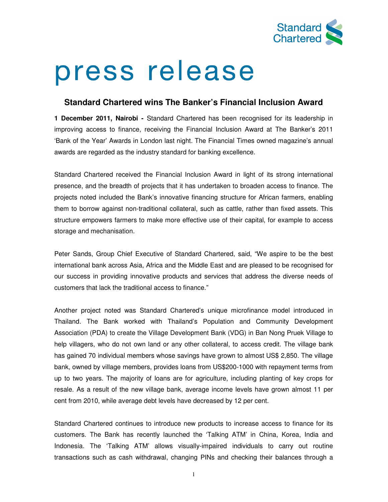

## press release

## **Standard Chartered wins The Banker's Financial Inclusion Award**

**1 December 2011, Nairobi -** Standard Chartered has been recognised for its leadership in improving access to finance, receiving the Financial Inclusion Award at The Banker's 2011 'Bank of the Year' Awards in London last night. The Financial Times owned magazine's annual awards are regarded as the industry standard for banking excellence.

Standard Chartered received the Financial Inclusion Award in light of its strong international presence, and the breadth of projects that it has undertaken to broaden access to finance. The projects noted included the Bank's innovative financing structure for African farmers, enabling them to borrow against non-traditional collateral, such as cattle, rather than fixed assets. This structure empowers farmers to make more effective use of their capital, for example to access storage and mechanisation.

Peter Sands, Group Chief Executive of Standard Chartered, said, "We aspire to be the best international bank across Asia, Africa and the Middle East and are pleased to be recognised for our success in providing innovative products and services that address the diverse needs of customers that lack the traditional access to finance."

Another project noted was Standard Chartered's unique microfinance model introduced in Thailand. The Bank worked with Thailand's Population and Community Development Association (PDA) to create the Village Development Bank (VDG) in Ban Nong Pruek Village to help villagers, who do not own land or any other collateral, to access credit. The village bank has gained 70 individual members whose savings have grown to almost US\$ 2,850. The village bank, owned by village members, provides loans from US\$200-1000 with repayment terms from up to two years. The majority of loans are for agriculture, including planting of key crops for resale. As a result of the new village bank, average income levels have grown almost 11 per cent from 2010, while average debt levels have decreased by 12 per cent.

Standard Chartered continues to introduce new products to increase access to finance for its customers. The Bank has recently launched the 'Talking ATM' in China, Korea, India and Indonesia. The 'Talking ATM' allows visually-impaired individuals to carry out routine transactions such as cash withdrawal, changing PINs and checking their balances through a